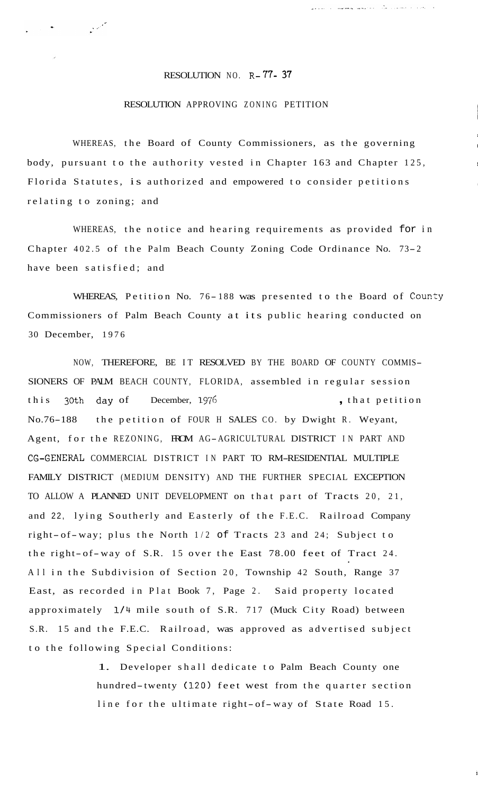## RESOLUTION NO. R-77- **37**

المحمد المستخدم المستخدم المستخدم المستخدم المستخدم المستخدم المستخدم المستخدم المستخدم المستخدم المستخدم المس<br>المستخدم المستخدم المستخدم المستخدم المستخدم المستخدم المستخدم المستخدم المستخدم المستخدم المستخدم المستخدم ال

## RESOLUTION APPROVING ZONING PETITION

I

والمتعاون والمستوري للأمام وللمتوجبين للمعارض

WHEREAS, the Board of County Commissioners, as the governing body, pursuant to the authority vested in Chapter 163 and Chapter 125, Florida Statutes, is authorized and empowered to consider petitions , relating to zoning; and

WHEREAS, the notice and hearing requirements as provided for in Chapter 402.5 of the Palm Beach County Zoning Code Ordinance No. 73-2 have been satisfied; and

WHEREAS, Petition No. 76-188 was presented to the Board of County Commissioners of Palm Beach County at its public hearing conducted on 30 December, 1976

NOW, THEREFORE, BE IT RESOLVED BY THE BOARD OF COUNTY COMMIS-SIONERS OF PALM BEACH COUNTY, FLORIDA, assembled in regular session this 30th day of December, 1976 , that petition No.76-188 the petition of FOUR H SALES CO. by Dwight R. Weyant, Agent, for the REZONING, FROM AG-AGRICULTURAL DISTRICT IN PART AND CG-GENERAL COMMERCIAL DISTRICT IN PART TO RM-RESIDENTIAL MULTIPLE FAMILY DISTRICT (MEDIUM DENSITY) AND THE FURTHER SPECIAL EXCEPTION TO ALLOW A PLANNED UNIT DEVELOPMENT on that part of Tracts 20, 21, and 22, lying Southerly and Easterly of the F.E.C. Railroad Company right- of-way; plus the North 1/2 of Tracts 23 and 24; Subject to the right- of-way of S.R. 15 over the East 78.00 feet of Tract 24. All in the Subdivision of Section 20, Township 42 South, Range 37 East, as recorded in Plat Book 7, Page 2. Said property located approximately **1/4** mile south of S.R. 717 (Muck City Road) between S.R. 15 and the F.E.C. Railroad, was approved as advertised subject to the following Special Conditions:

> 1. Developer shall dedicate to Palm Beach County one hundred-twenty (120) feet west from the quarter section line for the ultimate right-of-way of State Road 15.